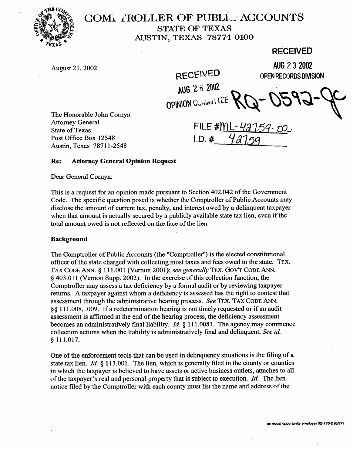

# **COMi I'ROLLER OF PUBLi, ACCOUNTS STATE OF TEXAS AUSTIN, TEXAS '78774-0100**

# **RECEIVED**

August 21, 2002 **AUG 2 3 2002**<br>RECEIVED **AUG 2 3 2002** 

**OPINION COMMITTEE** 

RECEIVED OPENRECORDSDIVISION

The Honorable John Cornyn Attorney General State of Texas Post Office Box 12548 Austin, Texas 78711-2548

FILE #ML- $L$  $1.D.$ #

## **Re: Attorney General Opinion Request**

Dear General Comyn:

This is a request for an opinion made pursuant to Section 402.042 of the Government Code. The specific question posed is whether the Comptroller of Public Accounts may disclose the amount of current tax, penalty, and interest owed by a delinguent taxpayer when that amount is actually secured by a publicly available state tax lien, even if the when that amount is actually secured by a publicly available state tax lien, even if the total amount owed is not reflected on the face of the lien.

#### **Background**

0 111.017.

The Comptroller of Public Accounts (the "Comptroller") is the elected constitutional officer of the state charged with collecting most taxes and fees owed to the state. TEX. TAX CODE ANN. § 111.001 (Vernon 2001); see generally TEX. GOV'T CODE ANN.  $\frac{1}{2}$  403.011 (Vernon Supp. 2002). In the exercise of this collection function, the Comptroller may assess a tax deficiency by a formal audit or by reviewing taxpayer returns. A taxpayer against whom a deficiency is assessed has the right to contest that assessment through the administrative hearing process. See TEX. TAX CODE ANN. §§ 111.008, 009. If a redetermination hearing is not timely requested or if an audit assessment is affirmed at the end of the hearing process, the deficiency assessment becomes an administratively final liability.  $Id.$  8 111,0081. The agency may commence collection actions when the liability is administratively final and delinquent. See id.  $§ 111.017.$ 

One of the enforcement tools that can be used in delinguency situations is the filing of a state tax lien. *Id.*  $\S$  113.001. The lien, which is generally filed in the county or counties in which the taxpayer is believed to have assets or active business outlets, attaches to all of the taxpayer's real and personal property that is subject to execution.  $Id$ . The lien notice filed by the Comptroller with each county must list the name and address of the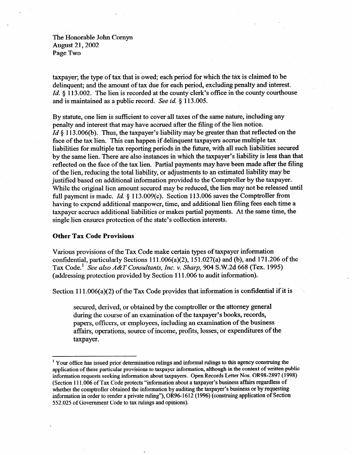The Honorable John Comyn August 21,2002 Page Two

taxpayer; the type of tax that is owed; each period for which the tax is claimed to be delinquent; and the amount of tax due for each period, excluding penalty and interest. *Id.* § 113.002. The lien is recorded at the county clerk's office in the county courthouse and is maintained as a public record. See *id. 6* 113.005.

By statute, one lien is sufficient to cover all taxes of the same nature, including any penalty and interest that may have accrued after the filing of the lien notice. *Id* § 113.006(b). Thus, the taxpayer's liability may be greater than that reflected on the face of the tax lien. This can happen if delinquent taxpayers accrue multiple tax liabilities for multiple tax reporting periods in the future, with all such liabilities secured by the same lien. There are also instances in which the taxpayer's liability is less than that reflected on the face of the tax lien. Partial payments may have been made after the filing of the lien, reducing the total liability, or adjustments to an estimated liability may be justified based on additional information provided to the Comptroller by the taxpayer. While the original lien amount secured may be reduced, the lien may not be released until full payment is made. *Id.* 6 113.009(c). Section 113.006 saves the Comptroller from having to expend additional manpower, time, and additional lien filing fees each time a taxpayer accrues additional liabilities or makes partial payments. At the same time, the single lien ensures protection of the state's collection interests.

### **Other Tax Code Provisions**

Various provisions of the Tax Code make certain types of taxpayer information confidential, particularly Sections  $111.006(a)(2)$ ,  $151.027(a)$  and  $(b)$ , and  $171.206$  of the Tax Code.' *See also A&T Consultants, Inc. v. Sharp, 904* S.W.2d 668 (Tex. 1995) (addressing protection provided by Section 111.006 to audit information).

Section  $111.006(a)(2)$  of the Tax Code provides that information is confidential if it is

secured, derived, or obtained by the comptroller or the attorney general during the course of an examination of the taxpayer's books, records, papers, officers, or employees, including an examination of the business affairs, operations, source of income, profits, losses, or expenditures of the taxpayer.

<sup>&</sup>lt;sup>1</sup> Your office has issued prior determination rulings and informal rulings to this agency construing the application of these particular provisions to taxpayer information, although in the context of written public information requests seeking information about taxpayers. Open Records Letter Nos. OR98-2897 (1998) (Section 111.006 of Tax Code protects "information about a taxpayer's business affairs regardless of whether the comptroller obtained the information by auditing the taxpayer's business or by requesting information in order to render a private ruling"), OR96-1612 (1996) (construing application of Section 552.025 of Government Code to tax rulings and opinions).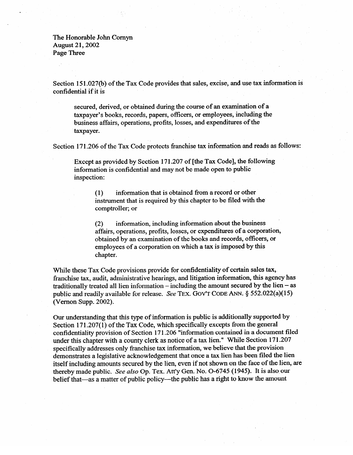The Honorable John Comyn August 21,2002 Page Three

Section 151.027(b) of the Tax Code provides that sales, excise, and use tax information is confidential if it is

secured, derived, or obtained during the course of an examination of a taxpayer's books, records, papers, officers, or employees, including the business affairs, operations, profits, losses, and expenditures of the taxpayer.

Section 171.206 of the Tax Code protects franchise tax information and reads as follows:

Except as provided by Section 171.207 of [the Tax Code], the following information is confidential and may not be made open to public inspection:

> **(1)** information that is obtained from a record or other insulation that is required by this chapter to be filed with the comptroller; or

**(2)** information, including information about the business obtained by an examination of the books and records, officers, or obtained by an examination of the books and records, or the conduction of the books and records, or  $\frac{1}{2}$ employees of a corporation on which a tax is imposed by the chapter.

While these Tax Code provisions provide for confidentiality of certain sales tax,<br>franchise tax, audit, administrative hearings, and litigation information, this agency has traditionally treated all lien information – including the amount secured by the lien – as public and readily available for release. See TEX. GOV'T CODE ANN.  $\S$  552.022(a)(15) (Vernon Supp. 2002).  $\sqrt{2}$ 

Our understanding that this type of information is public is additionally supported by<br>Section 171.207(1) of the Tax Code, which specifically excepts from the general confidentiality provision of Section 171.206 "information contained in a document filed under this chapter with a county clerk as notice of a tax lien." While Section 171.207 specifically addresses only franchise tax information, we believe that the provision demonstrates a legislative acknowledgement that once a tax lien has been filed the lien itself including amounts secured by the lien, even if not shown on the face of the lien, are thereby made public. See also Op. Tex. Att'y Gen. No. O-6745 (1945). It is also our thereby matter of public policy—the public has a right to know the amount

belief that-as a matter of public policy-the public policy-the public policy-the public has a right to know the amount to know the amount of  $\mu$